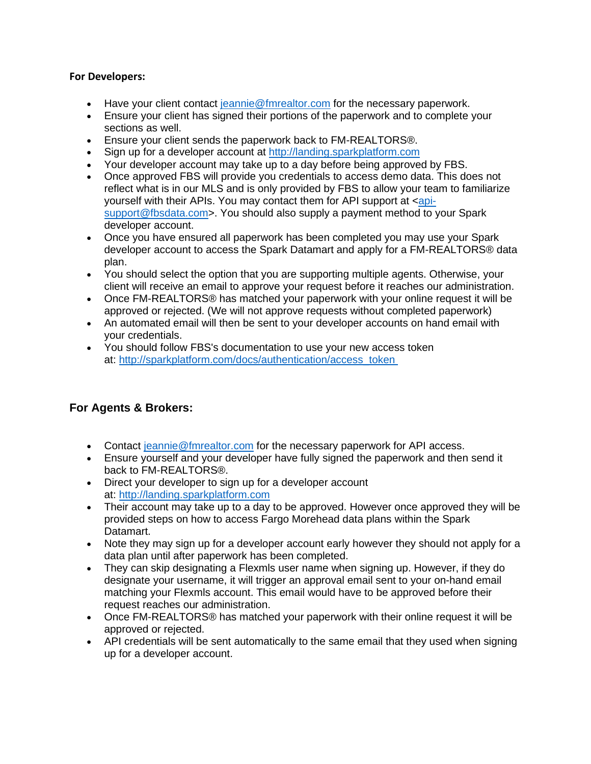#### **For Developers:**

- Have your client contact [jeannie@fmrealtor.com](mailto:jeannie@fmrealtor.com) for the necessary paperwork.
- Ensure your client has signed their portions of the paperwork and to complete your sections as well.
- Ensure your client sends the paperwork back to FM-REALTORS®.
- Sign up for a developer account at [http://landing.sparkplatform.com](http://landing.sparkplatform.com/)
- Your developer account may take up to a day before being approved by FBS.
- Once approved FBS will provide you credentials to access demo data. This does not reflect what is in our MLS and is only provided by FBS to allow your team to familiarize yourself with their APIs. You may contact them for API support at  $\langle$ api[support@fbsdata.com>](mailto:api-support@fbsdata.com). You should also supply a payment method to your Spark developer account.
- Once you have ensured all paperwork has been completed you may use your Spark developer account to access the Spark Datamart and apply for a FM-REALTORS® data plan.
- You should select the option that you are supporting multiple agents. Otherwise, your client will receive an email to approve your request before it reaches our administration.
- Once FM-REALTORS® has matched your paperwork with your online request it will be approved or rejected. (We will not approve requests without completed paperwork)
- An automated email will then be sent to your developer accounts on hand email with your credentials.
- You should follow FBS's documentation to use your new access token at: [http://sparkplatform.com/docs/authentication/access\\_token](http://sparkplatform.com/docs/authentication/access_token)

# **For Agents & Brokers:**

- Contact [jeannie@fmrealtor.com](mailto:jeannie@fmrealtor.com) for the necessary paperwork for API access.
- Ensure yourself and your developer have fully signed the paperwork and then send it back to FM-REALTORS®.
- Direct your developer to sign up for a developer account at: [http://landing.sparkplatform.com](http://landing.sparkplatform.com/)
- Their account may take up to a day to be approved. However once approved they will be provided steps on how to access Fargo Morehead data plans within the Spark Datamart.
- Note they may sign up for a developer account early however they should not apply for a data plan until after paperwork has been completed.
- They can skip designating a Flexmls user name when signing up. However, if they do designate your username, it will trigger an approval email sent to your on-hand email matching your Flexmls account. This email would have to be approved before their request reaches our administration.
- Once FM-REALTORS® has matched your paperwork with their online request it will be approved or rejected.
- API credentials will be sent automatically to the same email that they used when signing up for a developer account.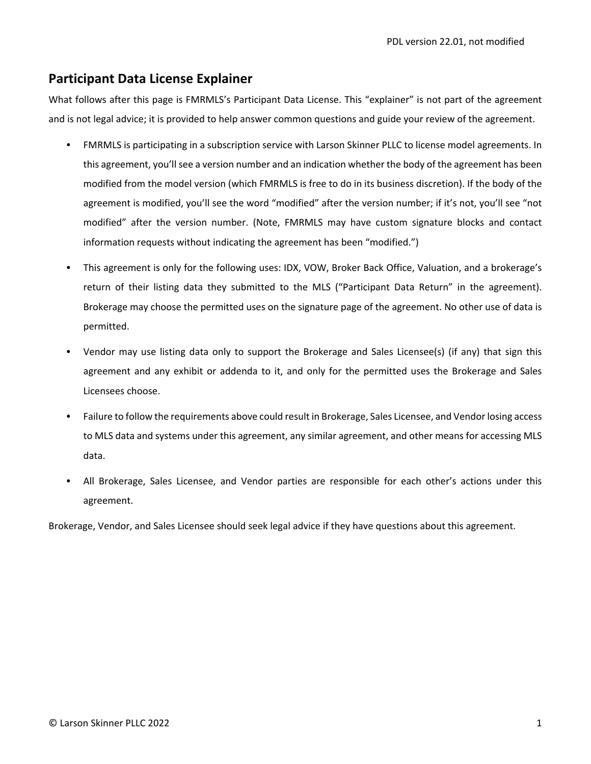# **Participant Data License Explainer**

What follows after this page is FMRMLS's Participant Data License. This "explainer" is not part of the agreement and is not legal advice; it is provided to help answer common questions and guide your review of the agreement.

- FMRMLS is participating in a subscription service with Larson Skinner PLLC to license model agreements. In this agreement, you'll see a version number and an indication whether the body of the agreement has been modified from the model version (which FMRMLS is free to do in its business discretion). If the body of the agreement is modified, you'll see the word "modified" after the version number; if it's not, you'll see "not modified" after the version number. (Note, FMRMLS may have custom signature blocks and contact information requests without indicating the agreement has been "modified.")
- This agreement is only for the following uses: IDX, VOW, Broker Back Office, Valuation, and a brokerage's return of their listing data they submitted to the MLS ("Participant Data Return" in the agreement). Brokerage may choose the permitted uses on the signature page of the agreement. No other use of data is permitted.
- Vendor may use listing data only to support the Brokerage and Sales Licensee(s) (if any) that sign this agreement and any exhibit or addenda to it, and only for the permitted uses the Brokerage and Sales Licensees choose.
- Failure to follow the requirements above could result in Brokerage, Sales Licensee, and Vendor losing access to MLS data and systems under this agreement, any similar agreement, and other means for accessing MLS data.
- All Brokerage, Sales Licensee, and Vendor parties are responsible for each other's actions under this agreement.

Brokerage, Vendor, and Sales Licensee should seek legal advice if they have questions about this agreement.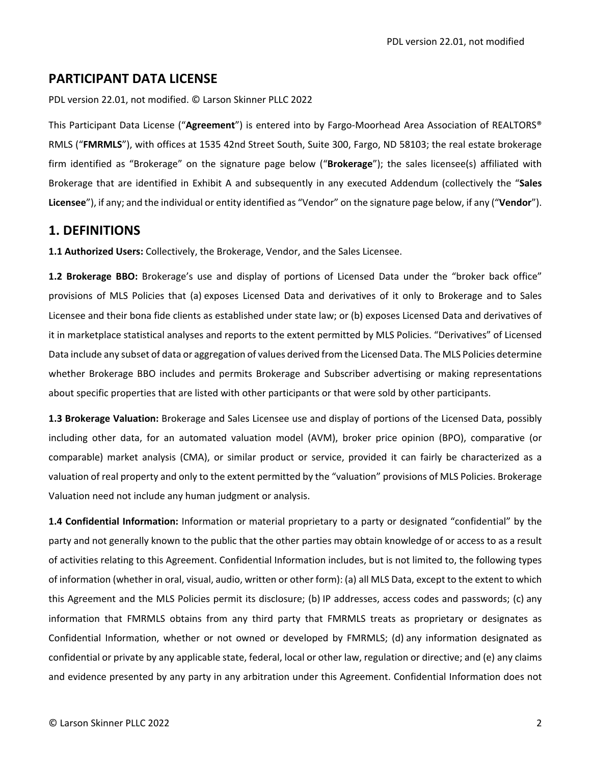PDL version 22.01, not modified. © Larson Skinner PLLC 2022

This Participant Data License ("**Agreement**") is entered into by Fargo‐Moorhead Area Association of REALTORS® RMLS ("**FMRMLS**"), with offices at 1535 42nd Street South, Suite 300, Fargo, ND 58103; the real estate brokerage firm identified as "Brokerage" on the signature page below ("**Brokerage**"); the sales licensee(s) affiliated with Brokerage that are identified in Exhibit A and subsequently in any executed Addendum (collectively the "**Sales Licensee**"), if any; and the individual or entity identified as "Vendor" on the signature page below, if any ("**Vendor**").

## **1. DEFINITIONS**

**1.1 Authorized Users:** Collectively, the Brokerage, Vendor, and the Sales Licensee.

**1.2 Brokerage BBO:** Brokerage's use and display of portions of Licensed Data under the "broker back office" provisions of MLS Policies that (a) exposes Licensed Data and derivatives of it only to Brokerage and to Sales Licensee and their bona fide clients as established under state law; or (b) exposes Licensed Data and derivatives of it in marketplace statistical analyses and reports to the extent permitted by MLS Policies. "Derivatives" of Licensed Data include any subset of data or aggregation of values derived from the Licensed Data. The MLS Policies determine whether Brokerage BBO includes and permits Brokerage and Subscriber advertising or making representations about specific properties that are listed with other participants or that were sold by other participants.

**1.3 Brokerage Valuation:** Brokerage and Sales Licensee use and display of portions of the Licensed Data, possibly including other data, for an automated valuation model (AVM), broker price opinion (BPO), comparative (or comparable) market analysis (CMA), or similar product or service, provided it can fairly be characterized as a valuation of real property and only to the extent permitted by the "valuation" provisions of MLS Policies. Brokerage Valuation need not include any human judgment or analysis.

**1.4 Confidential Information:** Information or material proprietary to a party or designated "confidential" by the party and not generally known to the public that the other parties may obtain knowledge of or access to as a result of activities relating to this Agreement. Confidential Information includes, but is not limited to, the following types of information (whether in oral, visual, audio, written or other form): (a) all MLS Data, except to the extent to which this Agreement and the MLS Policies permit its disclosure; (b) IP addresses, access codes and passwords; (c) any information that FMRMLS obtains from any third party that FMRMLS treats as proprietary or designates as Confidential Information, whether or not owned or developed by FMRMLS; (d) any information designated as confidential or private by any applicable state, federal, local or other law, regulation or directive; and (e) any claims and evidence presented by any party in any arbitration under this Agreement. Confidential Information does not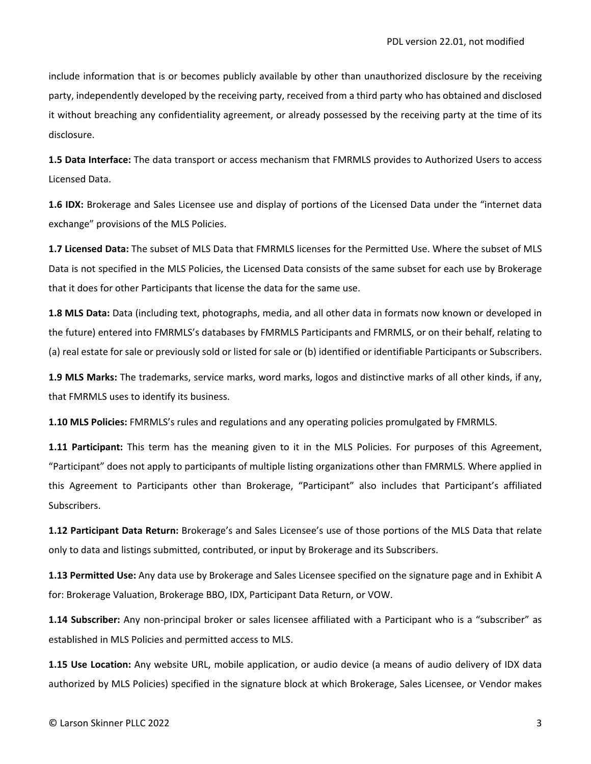include information that is or becomes publicly available by other than unauthorized disclosure by the receiving party, independently developed by the receiving party, received from a third party who has obtained and disclosed it without breaching any confidentiality agreement, or already possessed by the receiving party at the time of its disclosure.

**1.5 Data Interface:** The data transport or access mechanism that FMRMLS provides to Authorized Users to access Licensed Data.

**1.6 IDX:** Brokerage and Sales Licensee use and display of portions of the Licensed Data under the "internet data exchange" provisions of the MLS Policies.

**1.7 Licensed Data:** The subset of MLS Data that FMRMLS licenses for the Permitted Use. Where the subset of MLS Data is not specified in the MLS Policies, the Licensed Data consists of the same subset for each use by Brokerage that it does for other Participants that license the data for the same use.

**1.8 MLS Data:** Data (including text, photographs, media, and all other data in formats now known or developed in the future) entered into FMRMLS's databases by FMRMLS Participants and FMRMLS, or on their behalf, relating to (a) real estate for sale or previously sold or listed for sale or (b) identified or identifiable Participants or Subscribers.

**1.9 MLS Marks:** The trademarks, service marks, word marks, logos and distinctive marks of all other kinds, if any, that FMRMLS uses to identify its business.

**1.10 MLS Policies:** FMRMLS's rules and regulations and any operating policies promulgated by FMRMLS.

**1.11 Participant:** This term has the meaning given to it in the MLS Policies. For purposes of this Agreement, "Participant" does not apply to participants of multiple listing organizations other than FMRMLS. Where applied in this Agreement to Participants other than Brokerage, "Participant" also includes that Participant's affiliated Subscribers.

**1.12 Participant Data Return:** Brokerage's and Sales Licensee's use of those portions of the MLS Data that relate only to data and listings submitted, contributed, or input by Brokerage and its Subscribers.

**1.13 Permitted Use:** Any data use by Brokerage and Sales Licensee specified on the signature page and in Exhibit A for: Brokerage Valuation, Brokerage BBO, IDX, Participant Data Return, or VOW.

**1.14 Subscriber:** Any non‐principal broker or sales licensee affiliated with a Participant who is a "subscriber" as established in MLS Policies and permitted access to MLS.

**1.15 Use Location:** Any website URL, mobile application, or audio device (a means of audio delivery of IDX data authorized by MLS Policies) specified in the signature block at which Brokerage, Sales Licensee, or Vendor makes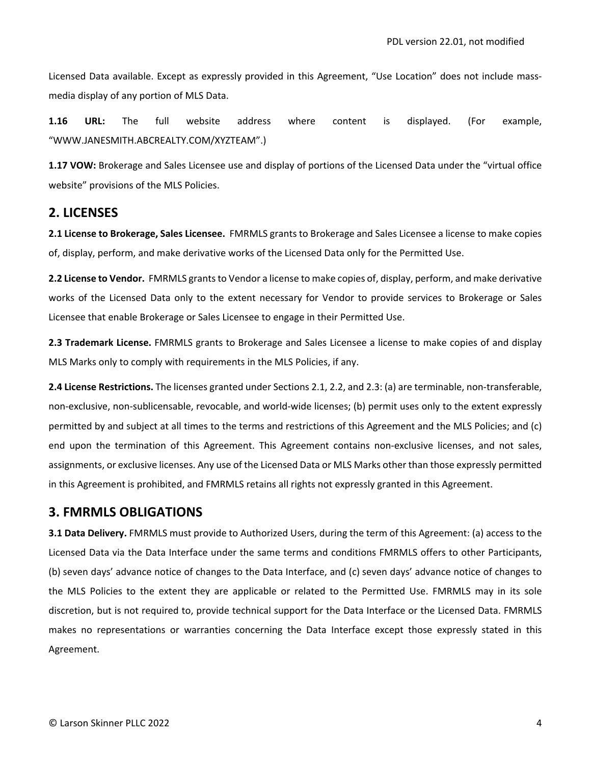Licensed Data available. Except as expressly provided in this Agreement, "Use Location" does not include mass‐ media display of any portion of MLS Data.

**1.16 URL:** The full website address where content is displayed. (For example, "WWW.JANESMITH.ABCREALTY.COM/XYZTEAM".)

**1.17 VOW:** Brokerage and Sales Licensee use and display of portions of the Licensed Data under the "virtual office website" provisions of the MLS Policies.

## **2. LICENSES**

**2.1 License to Brokerage, Sales Licensee.** FMRMLS grants to Brokerage and Sales Licensee a license to make copies of, display, perform, and make derivative works of the Licensed Data only for the Permitted Use.

**2.2 License to Vendor.** FMRMLS grants to Vendor a license to make copies of, display, perform, and make derivative works of the Licensed Data only to the extent necessary for Vendor to provide services to Brokerage or Sales Licensee that enable Brokerage or Sales Licensee to engage in their Permitted Use.

**2.3 Trademark License.** FMRMLS grants to Brokerage and Sales Licensee a license to make copies of and display MLS Marks only to comply with requirements in the MLS Policies, if any.

**2.4 License Restrictions.** The licenses granted under Sections 2.1, 2.2, and 2.3: (a) are terminable, non‐transferable, non‐exclusive, non‐sublicensable, revocable, and world‐wide licenses; (b) permit uses only to the extent expressly permitted by and subject at all times to the terms and restrictions of this Agreement and the MLS Policies; and (c) end upon the termination of this Agreement. This Agreement contains non-exclusive licenses, and not sales, assignments, or exclusive licenses. Any use of the Licensed Data or MLS Marks other than those expressly permitted in this Agreement is prohibited, and FMRMLS retains all rights not expressly granted in this Agreement.

#### **3. FMRMLS OBLIGATIONS**

**3.1 Data Delivery.** FMRMLS must provide to Authorized Users, during the term of this Agreement: (a) access to the Licensed Data via the Data Interface under the same terms and conditions FMRMLS offers to other Participants, (b) seven days' advance notice of changes to the Data Interface, and (c) seven days' advance notice of changes to the MLS Policies to the extent they are applicable or related to the Permitted Use. FMRMLS may in its sole discretion, but is not required to, provide technical support for the Data Interface or the Licensed Data. FMRMLS makes no representations or warranties concerning the Data Interface except those expressly stated in this Agreement.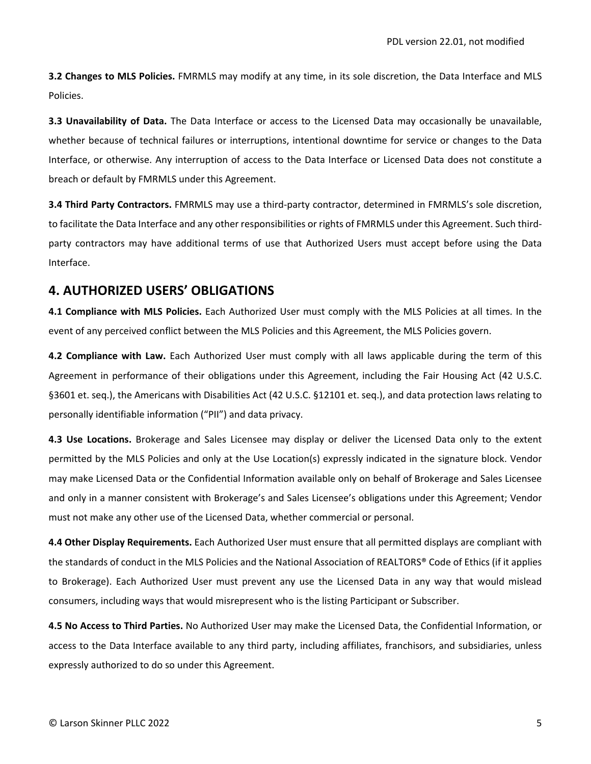**3.2 Changes to MLS Policies.** FMRMLS may modify at any time, in its sole discretion, the Data Interface and MLS Policies.

**3.3 Unavailability of Data.** The Data Interface or access to the Licensed Data may occasionally be unavailable, whether because of technical failures or interruptions, intentional downtime for service or changes to the Data Interface, or otherwise. Any interruption of access to the Data Interface or Licensed Data does not constitute a breach or default by FMRMLS under this Agreement.

**3.4 Third Party Contractors.** FMRMLS may use a third‐party contractor, determined in FMRMLS's sole discretion, to facilitate the Data Interface and any other responsibilities or rights of FMRMLS under this Agreement. Such thirdparty contractors may have additional terms of use that Authorized Users must accept before using the Data Interface.

## **4. AUTHORIZED USERS' OBLIGATIONS**

**4.1 Compliance with MLS Policies.** Each Authorized User must comply with the MLS Policies at all times. In the event of any perceived conflict between the MLS Policies and this Agreement, the MLS Policies govern.

**4.2 Compliance with Law.** Each Authorized User must comply with all laws applicable during the term of this Agreement in performance of their obligations under this Agreement, including the Fair Housing Act (42 U.S.C. §3601 et. seq.), the Americans with Disabilities Act (42 U.S.C. §12101 et. seq.), and data protection laws relating to personally identifiable information ("PII") and data privacy.

**4.3 Use Locations.** Brokerage and Sales Licensee may display or deliver the Licensed Data only to the extent permitted by the MLS Policies and only at the Use Location(s) expressly indicated in the signature block. Vendor may make Licensed Data or the Confidential Information available only on behalf of Brokerage and Sales Licensee and only in a manner consistent with Brokerage's and Sales Licensee's obligations under this Agreement; Vendor must not make any other use of the Licensed Data, whether commercial or personal.

**4.4 Other Display Requirements.** Each Authorized User must ensure that all permitted displays are compliant with the standards of conduct in the MLS Policies and the National Association of REALTORS® Code of Ethics (if it applies to Brokerage). Each Authorized User must prevent any use the Licensed Data in any way that would mislead consumers, including ways that would misrepresent who is the listing Participant or Subscriber.

**4.5 No Access to Third Parties.** No Authorized User may make the Licensed Data, the Confidential Information, or access to the Data Interface available to any third party, including affiliates, franchisors, and subsidiaries, unless expressly authorized to do so under this Agreement.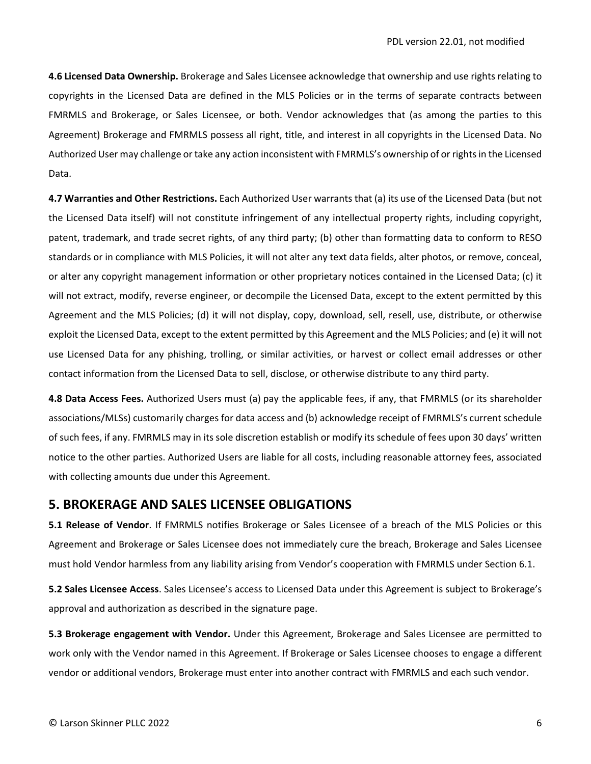**4.6 Licensed Data Ownership.** Brokerage and Sales Licensee acknowledge that ownership and use rights relating to copyrights in the Licensed Data are defined in the MLS Policies or in the terms of separate contracts between FMRMLS and Brokerage, or Sales Licensee, or both. Vendor acknowledges that (as among the parties to this Agreement) Brokerage and FMRMLS possess all right, title, and interest in all copyrights in the Licensed Data. No Authorized User may challenge or take any action inconsistent with FMRMLS's ownership of or rights in the Licensed Data.

**4.7 Warranties and Other Restrictions.** Each Authorized User warrants that (a) its use of the Licensed Data (but not the Licensed Data itself) will not constitute infringement of any intellectual property rights, including copyright, patent, trademark, and trade secret rights, of any third party; (b) other than formatting data to conform to RESO standards or in compliance with MLS Policies, it will not alter any text data fields, alter photos, or remove, conceal, or alter any copyright management information or other proprietary notices contained in the Licensed Data; (c) it will not extract, modify, reverse engineer, or decompile the Licensed Data, except to the extent permitted by this Agreement and the MLS Policies; (d) it will not display, copy, download, sell, resell, use, distribute, or otherwise exploit the Licensed Data, except to the extent permitted by this Agreement and the MLS Policies; and (e) it will not use Licensed Data for any phishing, trolling, or similar activities, or harvest or collect email addresses or other contact information from the Licensed Data to sell, disclose, or otherwise distribute to any third party.

**4.8 Data Access Fees.** Authorized Users must (a) pay the applicable fees, if any, that FMRMLS (or its shareholder associations/MLSs) customarily charges for data access and (b) acknowledge receipt of FMRMLS's current schedule of such fees, if any. FMRMLS may in its sole discretion establish or modify its schedule of fees upon 30 days' written notice to the other parties. Authorized Users are liable for all costs, including reasonable attorney fees, associated with collecting amounts due under this Agreement.

#### **5. BROKERAGE AND SALES LICENSEE OBLIGATIONS**

**5.1 Release of Vendor**. If FMRMLS notifies Brokerage or Sales Licensee of a breach of the MLS Policies or this Agreement and Brokerage or Sales Licensee does not immediately cure the breach, Brokerage and Sales Licensee must hold Vendor harmless from any liability arising from Vendor's cooperation with FMRMLS under Section 6.1.

**5.2 Sales Licensee Access**. Sales Licensee's access to Licensed Data under this Agreement is subject to Brokerage's approval and authorization as described in the signature page.

**5.3 Brokerage engagement with Vendor.** Under this Agreement, Brokerage and Sales Licensee are permitted to work only with the Vendor named in this Agreement. If Brokerage or Sales Licensee chooses to engage a different vendor or additional vendors, Brokerage must enter into another contract with FMRMLS and each such vendor.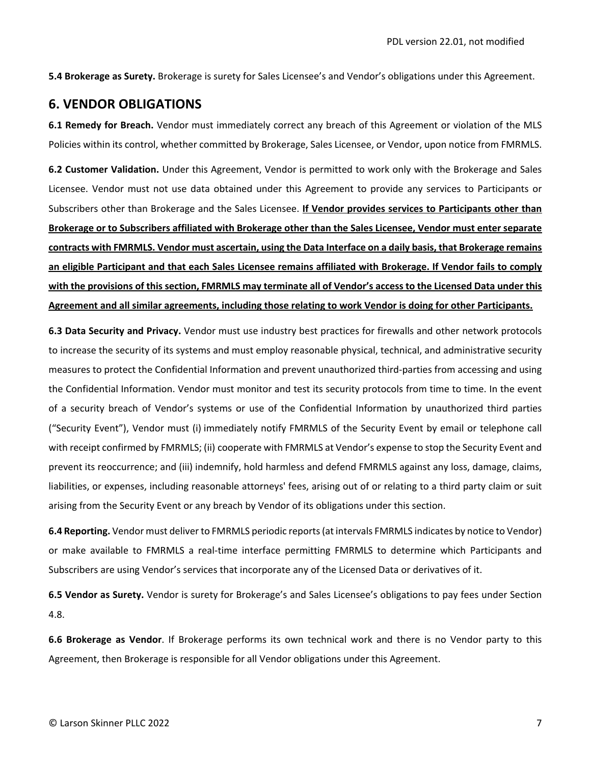**5.4 Brokerage as Surety.** Brokerage is surety for Sales Licensee's and Vendor's obligations under this Agreement.

#### **6. VENDOR OBLIGATIONS**

**6.1 Remedy for Breach.** Vendor must immediately correct any breach of this Agreement or violation of the MLS Policies within its control, whether committed by Brokerage, Sales Licensee, or Vendor, upon notice from FMRMLS.

**6.2 Customer Validation.** Under this Agreement, Vendor is permitted to work only with the Brokerage and Sales Licensee. Vendor must not use data obtained under this Agreement to provide any services to Participants or Subscribers other than Brokerage and the Sales Licensee. **If Vendor provides services to Participants other than Brokerage or to Subscribers affiliated with Brokerage other than the Sales Licensee, Vendor must enter separate** contracts with FMRMLS. Vendor must ascertain, using the Data Interface on a daily basis, that Brokerage remains an eligible Participant and that each Sales Licensee remains affiliated with Brokerage. If Vendor fails to comply with the provisions of this section, FMRMLS may terminate all of Vendor's access to the Licensed Data under this **Agreement and all similar agreements, including those relating to work Vendor is doing for other Participants.**

**6.3 Data Security and Privacy.** Vendor must use industry best practices for firewalls and other network protocols to increase the security of its systems and must employ reasonable physical, technical, and administrative security measures to protect the Confidential Information and prevent unauthorized third‐parties from accessing and using the Confidential Information. Vendor must monitor and test its security protocols from time to time. In the event of a security breach of Vendor's systems or use of the Confidential Information by unauthorized third parties ("Security Event"), Vendor must (i) immediately notify FMRMLS of the Security Event by email or telephone call with receipt confirmed by FMRMLS; (ii) cooperate with FMRMLS at Vendor's expense to stop the Security Event and prevent its reoccurrence; and (iii) indemnify, hold harmless and defend FMRMLS against any loss, damage, claims, liabilities, or expenses, including reasonable attorneys' fees, arising out of or relating to a third party claim or suit arising from the Security Event or any breach by Vendor of its obligations under this section.

**6.4 Reporting.** Vendor must deliver to FMRMLS periodic reports(at intervals FMRMLS indicates by notice to Vendor) or make available to FMRMLS a real‐time interface permitting FMRMLS to determine which Participants and Subscribers are using Vendor's services that incorporate any of the Licensed Data or derivatives of it.

**6.5 Vendor as Surety.** Vendor is surety for Brokerage's and Sales Licensee's obligations to pay fees under Section 4.8.

**6.6 Brokerage as Vendor**. If Brokerage performs its own technical work and there is no Vendor party to this Agreement, then Brokerage is responsible for all Vendor obligations under this Agreement.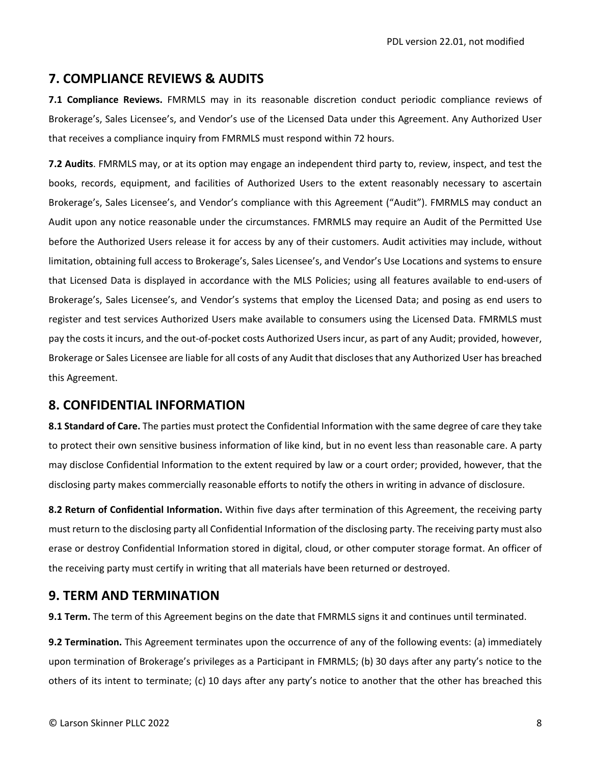## **7. COMPLIANCE REVIEWS & AUDITS**

**7.1 Compliance Reviews.** FMRMLS may in its reasonable discretion conduct periodic compliance reviews of Brokerage's, Sales Licensee's, and Vendor's use of the Licensed Data under this Agreement. Any Authorized User that receives a compliance inquiry from FMRMLS must respond within 72 hours.

**7.2 Audits**. FMRMLS may, or at its option may engage an independent third party to, review, inspect, and test the books, records, equipment, and facilities of Authorized Users to the extent reasonably necessary to ascertain Brokerage's, Sales Licensee's, and Vendor's compliance with this Agreement ("Audit"). FMRMLS may conduct an Audit upon any notice reasonable under the circumstances. FMRMLS may require an Audit of the Permitted Use before the Authorized Users release it for access by any of their customers. Audit activities may include, without limitation, obtaining full access to Brokerage's, Sales Licensee's, and Vendor's Use Locations and systems to ensure that Licensed Data is displayed in accordance with the MLS Policies; using all features available to end-users of Brokerage's, Sales Licensee's, and Vendor's systems that employ the Licensed Data; and posing as end users to register and test services Authorized Users make available to consumers using the Licensed Data. FMRMLS must pay the costs it incurs, and the out‐of‐pocket costs Authorized Users incur, as part of any Audit; provided, however, Brokerage or Sales Licensee are liable for all costs of any Audit that discloses that any Authorized User has breached this Agreement.

## **8. CONFIDENTIAL INFORMATION**

**8.1 Standard of Care.** The parties must protect the Confidential Information with the same degree of care they take to protect their own sensitive business information of like kind, but in no event less than reasonable care. A party may disclose Confidential Information to the extent required by law or a court order; provided, however, that the disclosing party makes commercially reasonable efforts to notify the others in writing in advance of disclosure.

**8.2 Return of Confidential Information.** Within five days after termination of this Agreement, the receiving party must return to the disclosing party all Confidential Information of the disclosing party. The receiving party must also erase or destroy Confidential Information stored in digital, cloud, or other computer storage format. An officer of the receiving party must certify in writing that all materials have been returned or destroyed.

## **9. TERM AND TERMINATION**

**9.1 Term.** The term of this Agreement begins on the date that FMRMLS signs it and continues until terminated.

**9.2 Termination.** This Agreement terminates upon the occurrence of any of the following events: (a) immediately upon termination of Brokerage's privileges as a Participant in FMRMLS; (b) 30 days after any party's notice to the others of its intent to terminate; (c) 10 days after any party's notice to another that the other has breached this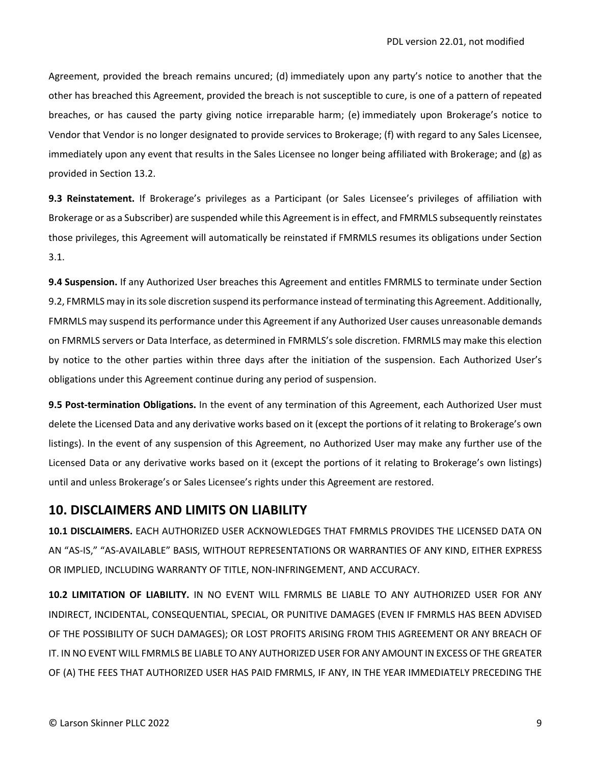Agreement, provided the breach remains uncured; (d) immediately upon any party's notice to another that the other has breached this Agreement, provided the breach is not susceptible to cure, is one of a pattern of repeated breaches, or has caused the party giving notice irreparable harm; (e) immediately upon Brokerage's notice to Vendor that Vendor is no longer designated to provide services to Brokerage; (f) with regard to any Sales Licensee, immediately upon any event that results in the Sales Licensee no longer being affiliated with Brokerage; and (g) as provided in Section 13.2.

**9.3 Reinstatement.** If Brokerage's privileges as a Participant (or Sales Licensee's privileges of affiliation with Brokerage or as a Subscriber) are suspended while this Agreement isin effect, and FMRMLS subsequently reinstates those privileges, this Agreement will automatically be reinstated if FMRMLS resumes its obligations under Section 3.1.

**9.4 Suspension.** If any Authorized User breaches this Agreement and entitles FMRMLS to terminate under Section 9.2, FMRMLS may in its sole discretion suspend its performance instead of terminating this Agreement. Additionally, FMRMLS may suspend its performance under this Agreement if any Authorized User causes unreasonable demands on FMRMLS servers or Data Interface, as determined in FMRMLS's sole discretion. FMRMLS may make this election by notice to the other parties within three days after the initiation of the suspension. Each Authorized User's obligations under this Agreement continue during any period of suspension.

**9.5 Post‐termination Obligations.** In the event of any termination of this Agreement, each Authorized User must delete the Licensed Data and any derivative works based on it (except the portions of it relating to Brokerage's own listings). In the event of any suspension of this Agreement, no Authorized User may make any further use of the Licensed Data or any derivative works based on it (except the portions of it relating to Brokerage's own listings) until and unless Brokerage's or Sales Licensee's rights under this Agreement are restored.

## **10. DISCLAIMERS AND LIMITS ON LIABILITY**

**10.1 DISCLAIMERS.** EACH AUTHORIZED USER ACKNOWLEDGES THAT FMRMLS PROVIDES THE LICENSED DATA ON AN "AS‐IS," "AS‐AVAILABLE" BASIS, WITHOUT REPRESENTATIONS OR WARRANTIES OF ANY KIND, EITHER EXPRESS OR IMPLIED, INCLUDING WARRANTY OF TITLE, NON‐INFRINGEMENT, AND ACCURACY.

**10.2 LIMITATION OF LIABILITY.** IN NO EVENT WILL FMRMLS BE LIABLE TO ANY AUTHORIZED USER FOR ANY INDIRECT, INCIDENTAL, CONSEQUENTIAL, SPECIAL, OR PUNITIVE DAMAGES (EVEN IF FMRMLS HAS BEEN ADVISED OF THE POSSIBILITY OF SUCH DAMAGES); OR LOST PROFITS ARISING FROM THIS AGREEMENT OR ANY BREACH OF IT. IN NO EVENT WILL FMRMLS BE LIABLE TO ANY AUTHORIZED USER FOR ANY AMOUNT IN EXCESS OF THE GREATER OF (A) THE FEES THAT AUTHORIZED USER HAS PAID FMRMLS, IF ANY, IN THE YEAR IMMEDIATELY PRECEDING THE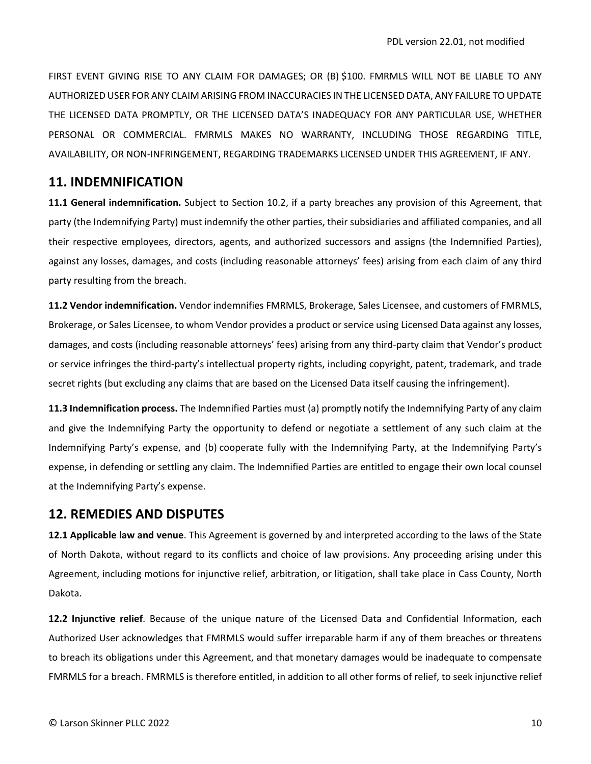FIRST EVENT GIVING RISE TO ANY CLAIM FOR DAMAGES; OR (B) \$100. FMRMLS WILL NOT BE LIABLE TO ANY AUTHORIZED USER FOR ANY CLAIM ARISING FROM INACCURACIES IN THE LICENSED DATA, ANY FAILURE TO UPDATE THE LICENSED DATA PROMPTLY, OR THE LICENSED DATA'S INADEQUACY FOR ANY PARTICULAR USE, WHETHER PERSONAL OR COMMERCIAL. FMRMLS MAKES NO WARRANTY, INCLUDING THOSE REGARDING TITLE, AVAILABILITY, OR NON‐INFRINGEMENT, REGARDING TRADEMARKS LICENSED UNDER THIS AGREEMENT, IF ANY.

#### **11. INDEMNIFICATION**

**11.1 General indemnification.** Subject to Section 10.2, if a party breaches any provision of this Agreement, that party (the Indemnifying Party) must indemnify the other parties, their subsidiaries and affiliated companies, and all their respective employees, directors, agents, and authorized successors and assigns (the Indemnified Parties), against any losses, damages, and costs (including reasonable attorneys' fees) arising from each claim of any third party resulting from the breach.

**11.2 Vendor indemnification.** Vendor indemnifies FMRMLS, Brokerage, Sales Licensee, and customers of FMRMLS, Brokerage, or Sales Licensee, to whom Vendor provides a product or service using Licensed Data against any losses, damages, and costs (including reasonable attorneys' fees) arising from any third-party claim that Vendor's product or service infringes the third‐party's intellectual property rights, including copyright, patent, trademark, and trade secret rights (but excluding any claims that are based on the Licensed Data itself causing the infringement).

**11.3 Indemnification process.** The Indemnified Parties must (a) promptly notify the Indemnifying Party of any claim and give the Indemnifying Party the opportunity to defend or negotiate a settlement of any such claim at the Indemnifying Party's expense, and (b) cooperate fully with the Indemnifying Party, at the Indemnifying Party's expense, in defending or settling any claim. The Indemnified Parties are entitled to engage their own local counsel at the Indemnifying Party's expense.

#### **12. REMEDIES AND DISPUTES**

**12.1 Applicable law and venue**. This Agreement is governed by and interpreted according to the laws of the State of North Dakota, without regard to its conflicts and choice of law provisions. Any proceeding arising under this Agreement, including motions for injunctive relief, arbitration, or litigation, shall take place in Cass County, North Dakota.

**12.2 Injunctive relief**. Because of the unique nature of the Licensed Data and Confidential Information, each Authorized User acknowledges that FMRMLS would suffer irreparable harm if any of them breaches or threatens to breach its obligations under this Agreement, and that monetary damages would be inadequate to compensate FMRMLS for a breach. FMRMLS is therefore entitled, in addition to all other forms of relief, to seek injunctive relief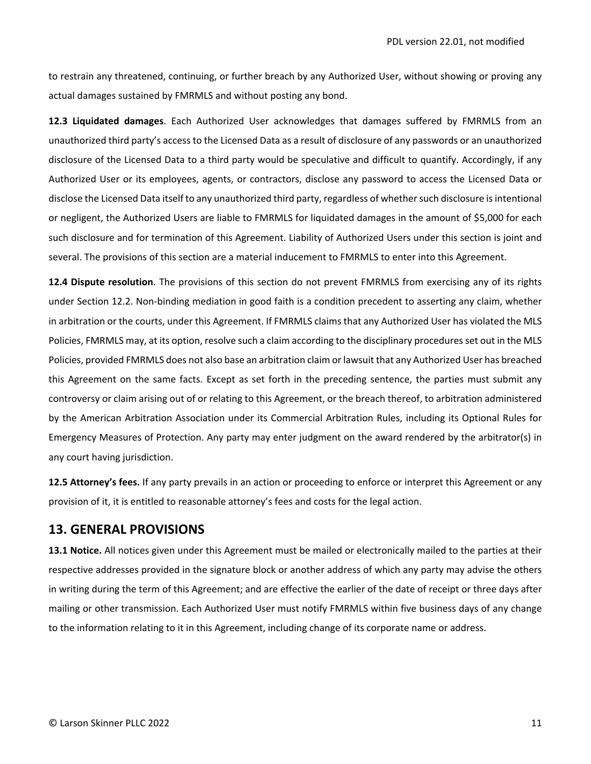to restrain any threatened, continuing, or further breach by any Authorized User, without showing or proving any actual damages sustained by FMRMLS and without posting any bond.

**12.3 Liquidated damages**. Each Authorized User acknowledges that damages suffered by FMRMLS from an unauthorized third party's access to the Licensed Data as a result of disclosure of any passwords or an unauthorized disclosure of the Licensed Data to a third party would be speculative and difficult to quantify. Accordingly, if any Authorized User or its employees, agents, or contractors, disclose any password to access the Licensed Data or disclose the Licensed Data itself to any unauthorized third party, regardless of whether such disclosure is intentional or negligent, the Authorized Users are liable to FMRMLS for liquidated damages in the amount of \$5,000 for each such disclosure and for termination of this Agreement. Liability of Authorized Users under this section is joint and several. The provisions of this section are a material inducement to FMRMLS to enter into this Agreement.

**12.4 Dispute resolution**. The provisions of this section do not prevent FMRMLS from exercising any of its rights under Section 12.2. Non‐binding mediation in good faith is a condition precedent to asserting any claim, whether in arbitration or the courts, under this Agreement. If FMRMLS claims that any Authorized User has violated the MLS Policies, FMRMLS may, at its option, resolve such a claim according to the disciplinary procedures set out in the MLS Policies, provided FMRMLS does not also base an arbitration claim or lawsuit that any Authorized User has breached this Agreement on the same facts. Except as set forth in the preceding sentence, the parties must submit any controversy or claim arising out of or relating to this Agreement, or the breach thereof, to arbitration administered by the American Arbitration Association under its Commercial Arbitration Rules, including its Optional Rules for Emergency Measures of Protection. Any party may enter judgment on the award rendered by the arbitrator(s) in any court having jurisdiction.

**12.5 Attorney's fees.** If any party prevails in an action or proceeding to enforce or interpret this Agreement or any provision of it, it is entitled to reasonable attorney's fees and costs for the legal action.

#### **13. GENERAL PROVISIONS**

**13.1 Notice.** All notices given under this Agreement must be mailed or electronically mailed to the parties at their respective addresses provided in the signature block or another address of which any party may advise the others in writing during the term of this Agreement; and are effective the earlier of the date of receipt or three days after mailing or other transmission. Each Authorized User must notify FMRMLS within five business days of any change to the information relating to it in this Agreement, including change of its corporate name or address.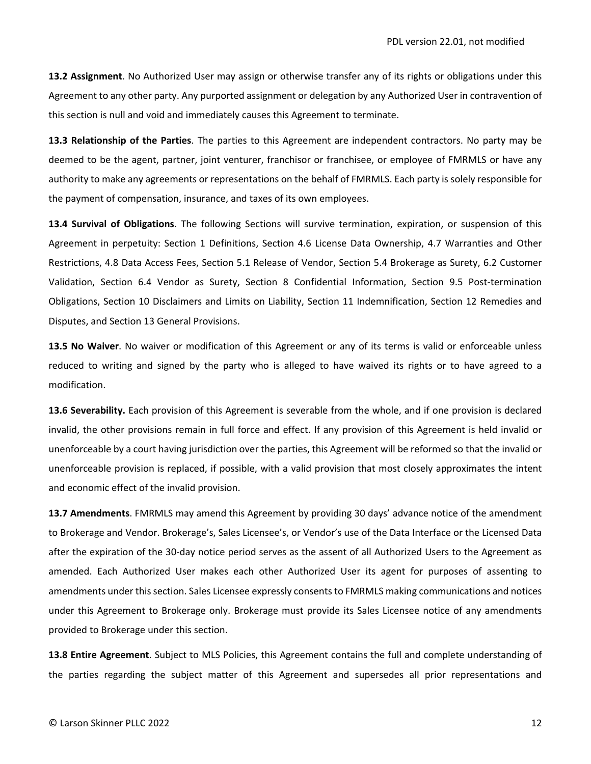**13.2 Assignment**. No Authorized User may assign or otherwise transfer any of its rights or obligations under this Agreement to any other party. Any purported assignment or delegation by any Authorized User in contravention of this section is null and void and immediately causes this Agreement to terminate.

**13.3 Relationship of the Parties**. The parties to this Agreement are independent contractors. No party may be deemed to be the agent, partner, joint venturer, franchisor or franchisee, or employee of FMRMLS or have any authority to make any agreements or representations on the behalf of FMRMLS. Each party is solely responsible for the payment of compensation, insurance, and taxes of its own employees.

**13.4 Survival of Obligations**. The following Sections will survive termination, expiration, or suspension of this Agreement in perpetuity: Section 1 Definitions, Section 4.6 License Data Ownership, 4.7 Warranties and Other Restrictions, 4.8 Data Access Fees, Section 5.1 Release of Vendor, Section 5.4 Brokerage as Surety, 6.2 Customer Validation, Section 6.4 Vendor as Surety, Section 8 Confidential Information, Section 9.5 Post‐termination Obligations, Section 10 Disclaimers and Limits on Liability, Section 11 Indemnification, Section 12 Remedies and Disputes, and Section 13 General Provisions.

**13.5 No Waiver**. No waiver or modification of this Agreement or any of its terms is valid or enforceable unless reduced to writing and signed by the party who is alleged to have waived its rights or to have agreed to a modification.

**13.6 Severability.** Each provision of this Agreement is severable from the whole, and if one provision is declared invalid, the other provisions remain in full force and effect. If any provision of this Agreement is held invalid or unenforceable by a court having jurisdiction over the parties, this Agreement will be reformed so that the invalid or unenforceable provision is replaced, if possible, with a valid provision that most closely approximates the intent and economic effect of the invalid provision.

**13.7 Amendments**. FMRMLS may amend this Agreement by providing 30 days' advance notice of the amendment to Brokerage and Vendor. Brokerage's, Sales Licensee's, or Vendor's use of the Data Interface or the Licensed Data after the expiration of the 30‐day notice period serves as the assent of all Authorized Users to the Agreement as amended. Each Authorized User makes each other Authorized User its agent for purposes of assenting to amendments under this section. Sales Licensee expressly consents to FMRMLS making communications and notices under this Agreement to Brokerage only. Brokerage must provide its Sales Licensee notice of any amendments provided to Brokerage under this section.

**13.8 Entire Agreement**. Subject to MLS Policies, this Agreement contains the full and complete understanding of the parties regarding the subject matter of this Agreement and supersedes all prior representations and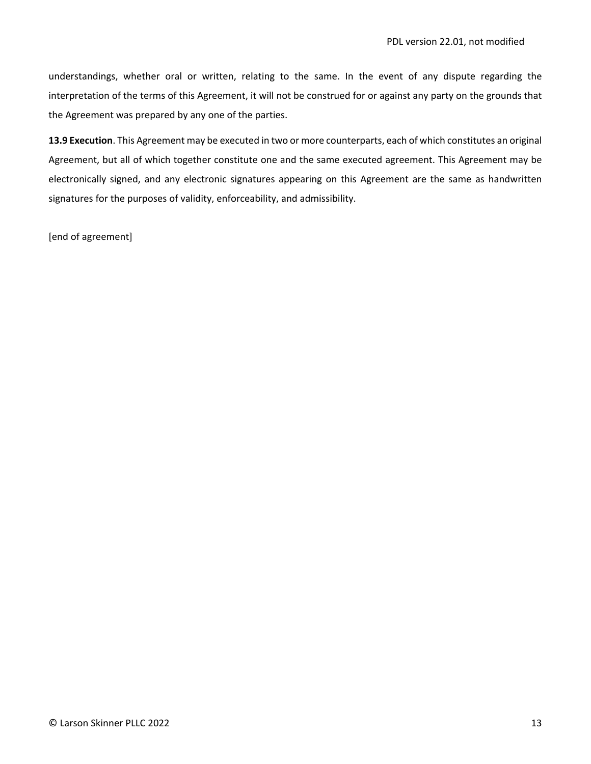understandings, whether oral or written, relating to the same. In the event of any dispute regarding the interpretation of the terms of this Agreement, it will not be construed for or against any party on the grounds that the Agreement was prepared by any one of the parties.

**13.9 Execution**. This Agreement may be executed in two or more counterparts, each of which constitutes an original Agreement, but all of which together constitute one and the same executed agreement. This Agreement may be electronically signed, and any electronic signatures appearing on this Agreement are the same as handwritten signatures for the purposes of validity, enforceability, and admissibility.

[end of agreement]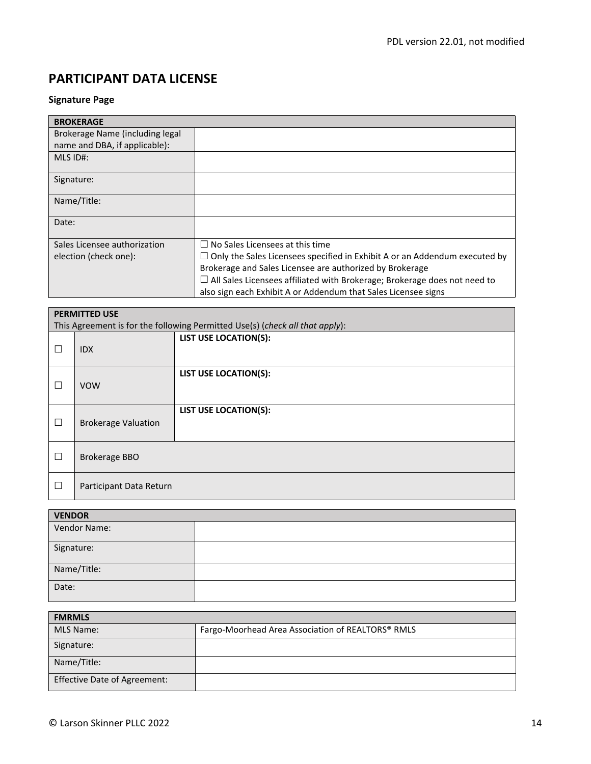## **Signature Page**

| <b>BROKERAGE</b>                |                                                                                   |
|---------------------------------|-----------------------------------------------------------------------------------|
| Brokerage Name (including legal |                                                                                   |
| name and DBA, if applicable):   |                                                                                   |
| $MLS$ ID#:                      |                                                                                   |
| Signature:                      |                                                                                   |
| Name/Title:                     |                                                                                   |
| Date:                           |                                                                                   |
| Sales Licensee authorization    | $\Box$ No Sales Licensees at this time.                                           |
| election (check one):           | $\Box$ Only the Sales Licensees specified in Exhibit A or an Addendum executed by |
|                                 | Brokerage and Sales Licensee are authorized by Brokerage                          |
|                                 | $\Box$ All Sales Licensees affiliated with Brokerage; Brokerage does not need to  |
|                                 | also sign each Exhibit A or Addendum that Sales Licensee signs                    |

| <b>PERMITTED USE</b> |                                                                              |                              |  |
|----------------------|------------------------------------------------------------------------------|------------------------------|--|
|                      | This Agreement is for the following Permitted Use(s) (check all that apply): |                              |  |
| П                    | <b>IDX</b>                                                                   | <b>LIST USE LOCATION(S):</b> |  |
| П                    | <b>VOW</b>                                                                   | <b>LIST USE LOCATION(S):</b> |  |
| $\Box$               | <b>Brokerage Valuation</b>                                                   | <b>LIST USE LOCATION(S):</b> |  |
| П                    | <b>Brokerage BBO</b>                                                         |                              |  |
| $\Box$               | Participant Data Return                                                      |                              |  |

| <b>VENDOR</b> |  |  |
|---------------|--|--|
| Vendor Name:  |  |  |
| Signature:    |  |  |
| Name/Title:   |  |  |
| Date:         |  |  |

| <b>FMRMLS</b>                       |                                                   |  |  |
|-------------------------------------|---------------------------------------------------|--|--|
| MLS Name:                           | Fargo-Moorhead Area Association of REALTORS® RMLS |  |  |
| Signature:                          |                                                   |  |  |
| Name/Title:                         |                                                   |  |  |
| <b>Effective Date of Agreement:</b> |                                                   |  |  |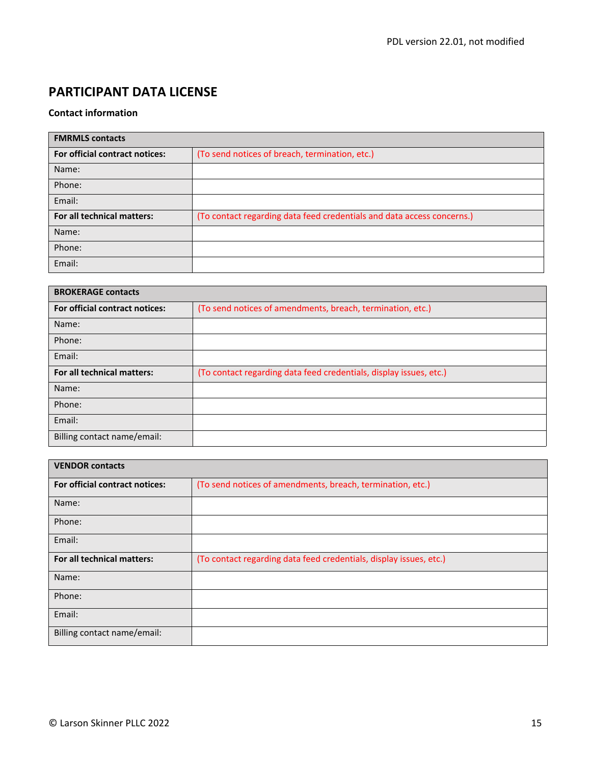# **Contact information**

| <b>FMRMLS</b> contacts         |                                                                        |  |  |
|--------------------------------|------------------------------------------------------------------------|--|--|
| For official contract notices: | (To send notices of breach, termination, etc.)                         |  |  |
| Name:                          |                                                                        |  |  |
| Phone:                         |                                                                        |  |  |
| Email:                         |                                                                        |  |  |
| For all technical matters:     | (To contact regarding data feed credentials and data access concerns.) |  |  |
| Name:                          |                                                                        |  |  |
| Phone:                         |                                                                        |  |  |
| Email:                         |                                                                        |  |  |

| <b>BROKERAGE contacts</b>      |                                                                    |  |  |
|--------------------------------|--------------------------------------------------------------------|--|--|
| For official contract notices: | (To send notices of amendments, breach, termination, etc.)         |  |  |
| Name:                          |                                                                    |  |  |
| Phone:                         |                                                                    |  |  |
| Email:                         |                                                                    |  |  |
| For all technical matters:     | (To contact regarding data feed credentials, display issues, etc.) |  |  |
| Name:                          |                                                                    |  |  |
| Phone:                         |                                                                    |  |  |
| Email:                         |                                                                    |  |  |
| Billing contact name/email:    |                                                                    |  |  |

| <b>VENDOR contacts</b>         |                                                                    |  |  |
|--------------------------------|--------------------------------------------------------------------|--|--|
| For official contract notices: | (To send notices of amendments, breach, termination, etc.)         |  |  |
| Name:                          |                                                                    |  |  |
| Phone:                         |                                                                    |  |  |
| Email:                         |                                                                    |  |  |
| For all technical matters:     | (To contact regarding data feed credentials, display issues, etc.) |  |  |
| Name:                          |                                                                    |  |  |
| Phone:                         |                                                                    |  |  |
| Email:                         |                                                                    |  |  |
| Billing contact name/email:    |                                                                    |  |  |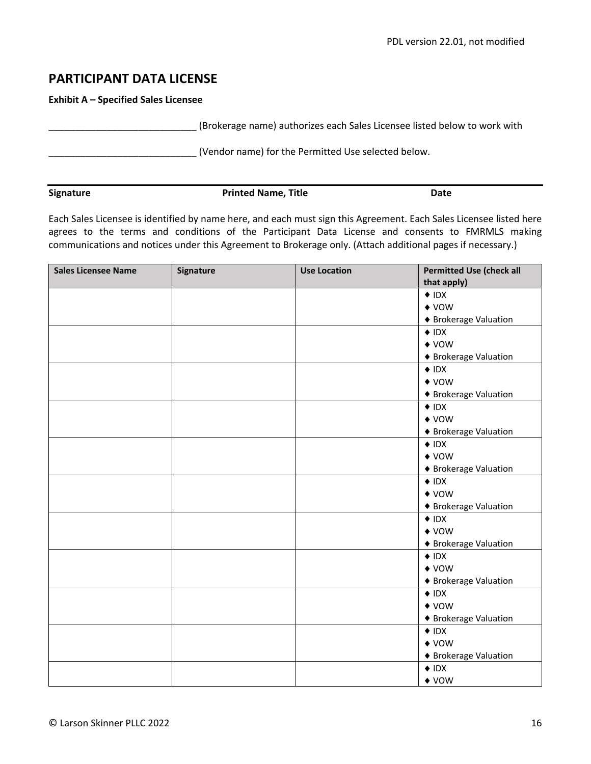**Exhibit A – Specified Sales Licensee**

\_\_\_\_\_\_\_\_\_\_\_\_\_\_\_\_\_\_\_\_\_\_\_\_\_\_\_\_ (Brokerage name) authorizes each Sales Licensee listed below to work with

\_\_\_\_\_\_\_\_\_\_\_\_\_\_\_\_\_\_\_\_\_\_\_\_\_\_\_\_ (Vendor name) for the Permitted Use selected below.

| Signature | <b>Printed Name, Title</b> | Date |
|-----------|----------------------------|------|

Each Sales Licensee is identified by name here, and each must sign this Agreement. Each Sales Licensee listed here agrees to the terms and conditions of the Participant Data License and consents to FMRMLS making communications and notices under this Agreement to Brokerage only. (Attach additional pages if necessary.)

| <b>Sales Licensee Name</b> | Signature | <b>Use Location</b> | <b>Permitted Use (check all</b> |
|----------------------------|-----------|---------------------|---------------------------------|
|                            |           |                     | that apply)                     |
|                            |           |                     | $\triangle$ IDX                 |
|                            |           |                     | $\triangle$ VOW                 |
|                            |           |                     | ◆ Brokerage Valuation           |
|                            |           |                     | $\triangle$ IDX                 |
|                            |           |                     | $\triangle$ VOW                 |
|                            |           |                     | ◆ Brokerage Valuation           |
|                            |           |                     | $\triangle$ IDX                 |
|                            |           |                     | $\blacklozenge$ vow             |
|                            |           |                     | ◆ Brokerage Valuation           |
|                            |           |                     | $\triangle$ IDX                 |
|                            |           |                     | $\blacklozenge$ vow             |
|                            |           |                     | ◆ Brokerage Valuation           |
|                            |           |                     | $\triangle$ IDX                 |
|                            |           |                     | $\triangle$ VOW                 |
|                            |           |                     | ◆ Brokerage Valuation           |
|                            |           |                     | $\triangle$ IDX                 |
|                            |           |                     | $\triangle$ VOW                 |
|                            |           |                     | ◆ Brokerage Valuation           |
|                            |           |                     | $\triangle$ IDX                 |
|                            |           |                     | $\blacklozenge$ vow             |
|                            |           |                     | ◆ Brokerage Valuation           |
|                            |           |                     | $\triangle$ IDX                 |
|                            |           |                     | $\blacklozenge$ vow             |
|                            |           |                     | ◆ Brokerage Valuation           |
|                            |           |                     | $\triangle$ IDX                 |
|                            |           |                     | $\triangle$ VOW                 |
|                            |           |                     | ◆ Brokerage Valuation           |
|                            |           |                     | $\triangle$ IDX                 |
|                            |           |                     | $\triangle$ VOW                 |
|                            |           |                     | ◆ Brokerage Valuation           |
|                            |           |                     | $\triangle$ IDX                 |
|                            |           |                     | $\blacklozenge$ vow             |